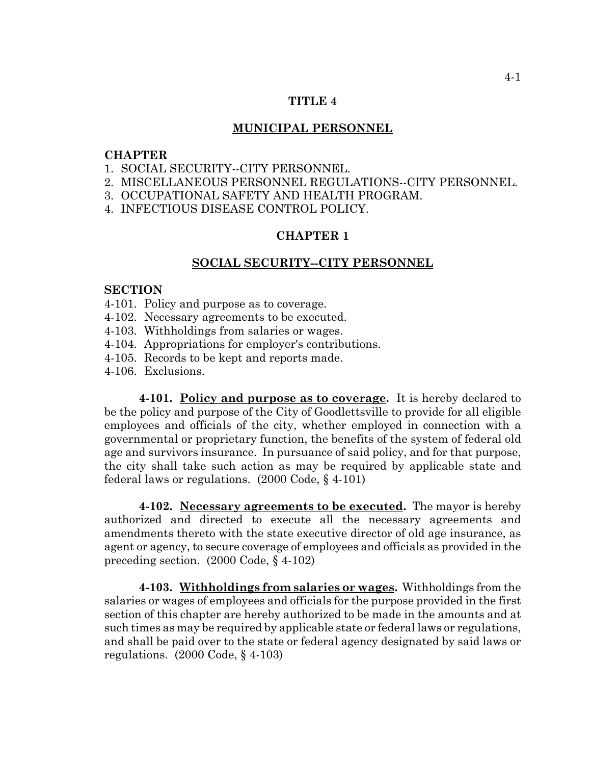### **TITLE 4**

#### **MUNICIPAL PERSONNEL**

### **CHAPTER**

- 1. SOCIAL SECURITY--CITY PERSONNEL.
- 2. MISCELLANEOUS PERSONNEL REGULATIONS--CITY PERSONNEL.
- 3. OCCUPATIONAL SAFETY AND HEALTH PROGRAM.
- 4. INFECTIOUS DISEASE CONTROL POLICY.

### **CHAPTER 1**

#### **SOCIAL SECURITY--CITY PERSONNEL**

### **SECTION**

- 4-101. Policy and purpose as to coverage.
- 4-102. Necessary agreements to be executed.
- 4-103. Withholdings from salaries or wages.
- 4-104. Appropriations for employer's contributions.
- 4-105. Records to be kept and reports made.
- 4-106. Exclusions.

**4-101. Policy and purpose as to coverage.** It is hereby declared to be the policy and purpose of the City of Goodlettsville to provide for all eligible employees and officials of the city, whether employed in connection with a governmental or proprietary function, the benefits of the system of federal old age and survivors insurance. In pursuance of said policy, and for that purpose, the city shall take such action as may be required by applicable state and federal laws or regulations. (2000 Code, § 4-101)

**4-102. Necessary agreements to be executed.** The mayor is hereby authorized and directed to execute all the necessary agreements and amendments thereto with the state executive director of old age insurance, as agent or agency, to secure coverage of employees and officials as provided in the preceding section. (2000 Code, § 4-102)

**4-103. Withholdings from salaries or wages.** Withholdings from the salaries or wages of employees and officials for the purpose provided in the first section of this chapter are hereby authorized to be made in the amounts and at such times as may be required by applicable state or federal laws or regulations, and shall be paid over to the state or federal agency designated by said laws or regulations. (2000 Code, § 4-103)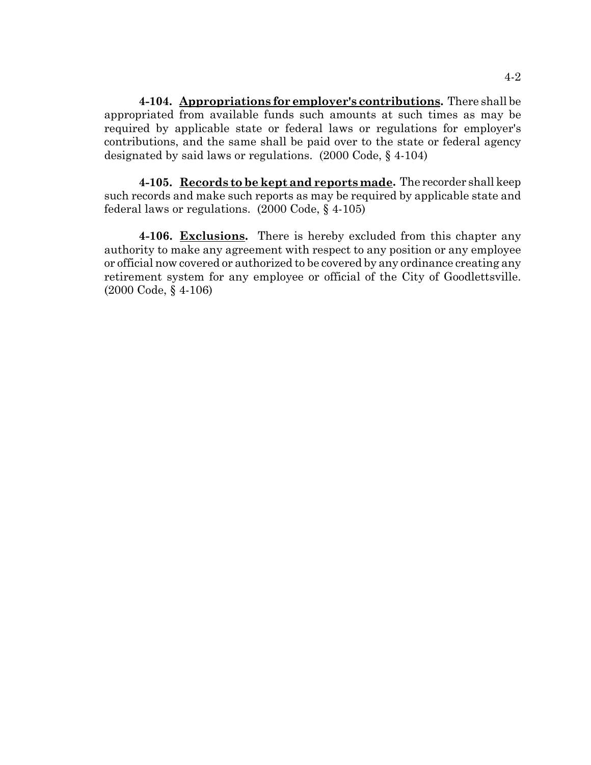**4-104. Appropriations for employer's contributions.** There shall be appropriated from available funds such amounts at such times as may be required by applicable state or federal laws or regulations for employer's contributions, and the same shall be paid over to the state or federal agency designated by said laws or regulations. (2000 Code, § 4-104)

**4-105. Records to be kept and reports made.** The recorder shall keep such records and make such reports as may be required by applicable state and federal laws or regulations. (2000 Code, § 4-105)

**4-106. Exclusions.** There is hereby excluded from this chapter any authority to make any agreement with respect to any position or any employee or official now covered or authorized to be covered by any ordinance creating any retirement system for any employee or official of the City of Goodlettsville. (2000 Code, § 4-106)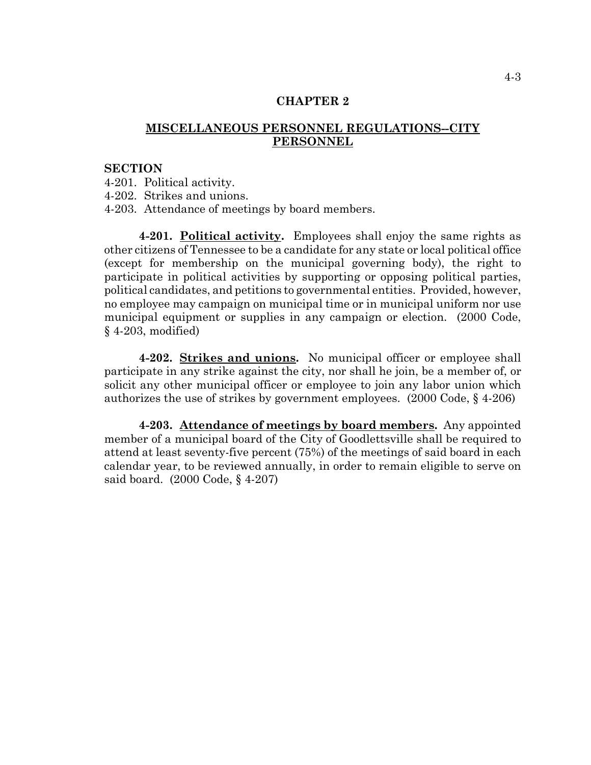### **CHAPTER 2**

# **MISCELLANEOUS PERSONNEL REGULATIONS--CITY PERSONNEL**

### **SECTION**

4-201. Political activity.

4-202. Strikes and unions.

4-203. Attendance of meetings by board members.

**4-201. Political activity.** Employees shall enjoy the same rights as other citizens of Tennessee to be a candidate for any state or local political office (except for membership on the municipal governing body), the right to participate in political activities by supporting or opposing political parties, political candidates, and petitions to governmental entities. Provided, however, no employee may campaign on municipal time or in municipal uniform nor use municipal equipment or supplies in any campaign or election. (2000 Code, § 4-203, modified)

**4-202. Strikes and unions.** No municipal officer or employee shall participate in any strike against the city, nor shall he join, be a member of, or solicit any other municipal officer or employee to join any labor union which authorizes the use of strikes by government employees. (2000 Code, § 4-206)

**4-203. Attendance of meetings by board members.** Any appointed member of a municipal board of the City of Goodlettsville shall be required to attend at least seventy-five percent (75%) of the meetings of said board in each calendar year, to be reviewed annually, in order to remain eligible to serve on said board. (2000 Code, § 4-207)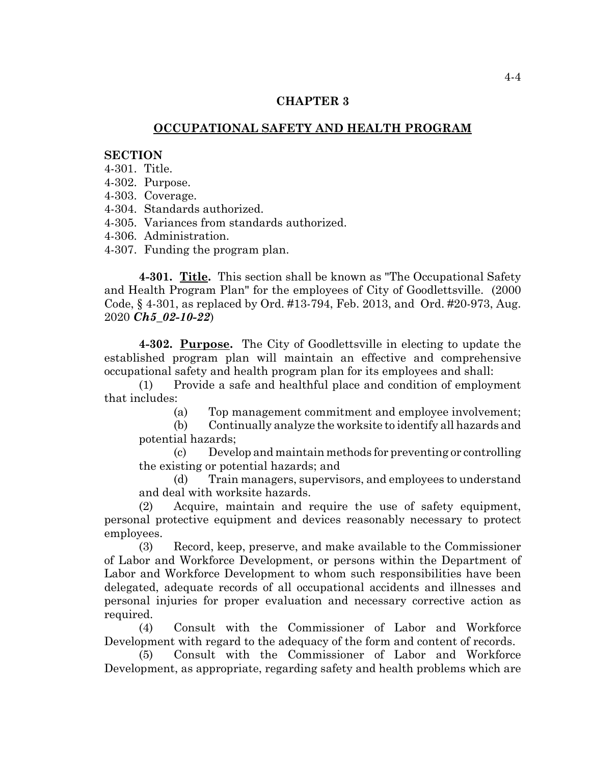### **CHAPTER 3**

# **OCCUPATIONAL SAFETY AND HEALTH PROGRAM**

#### **SECTION**

- 4-301. Title.
- 4-302. Purpose.
- 4-303. Coverage.
- 4-304. Standards authorized.
- 4-305. Variances from standards authorized.
- 4-306. Administration.
- 4-307. Funding the program plan.

**4-301. Title.** This section shall be known as "The Occupational Safety and Health Program Plan" for the employees of City of Goodlettsville. (2000 Code, § 4-301, as replaced by Ord. #13-794, Feb. 2013, and Ord. #20-973, Aug. 2020 *Ch5\_02-10-22*)

**4-302. Purpose.** The City of Goodlettsville in electing to update the established program plan will maintain an effective and comprehensive occupational safety and health program plan for its employees and shall:

(1) Provide a safe and healthful place and condition of employment that includes:

(a) Top management commitment and employee involvement;

(b) Continually analyze the worksite to identify all hazards and potential hazards;

(c) Develop and maintain methods for preventing or controlling the existing or potential hazards; and

(d) Train managers, supervisors, and employees to understand and deal with worksite hazards.

(2) Acquire, maintain and require the use of safety equipment, personal protective equipment and devices reasonably necessary to protect employees.

(3) Record, keep, preserve, and make available to the Commissioner of Labor and Workforce Development, or persons within the Department of Labor and Workforce Development to whom such responsibilities have been delegated, adequate records of all occupational accidents and illnesses and personal injuries for proper evaluation and necessary corrective action as required.

(4) Consult with the Commissioner of Labor and Workforce Development with regard to the adequacy of the form and content of records.

(5) Consult with the Commissioner of Labor and Workforce Development, as appropriate, regarding safety and health problems which are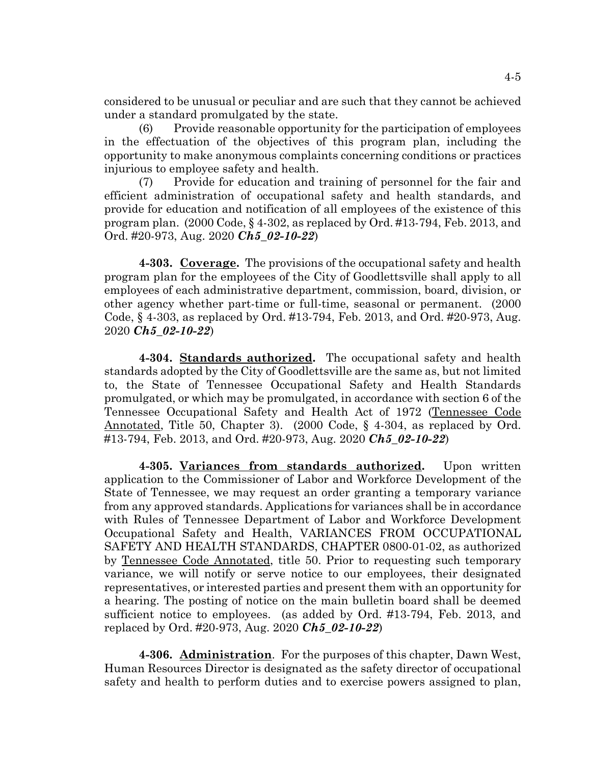considered to be unusual or peculiar and are such that they cannot be achieved under a standard promulgated by the state.

(6) Provide reasonable opportunity for the participation of employees in the effectuation of the objectives of this program plan, including the opportunity to make anonymous complaints concerning conditions or practices injurious to employee safety and health.

(7) Provide for education and training of personnel for the fair and efficient administration of occupational safety and health standards, and provide for education and notification of all employees of the existence of this program plan. (2000 Code, § 4-302, as replaced by Ord. #13-794, Feb. 2013, and Ord. #20-973, Aug. 2020 *Ch5\_02-10-22*)

**4-303. Coverage.** The provisions of the occupational safety and health program plan for the employees of the City of Goodlettsville shall apply to all employees of each administrative department, commission, board, division, or other agency whether part-time or full-time, seasonal or permanent. (2000 Code, § 4-303, as replaced by Ord. #13-794, Feb. 2013, and Ord. #20-973, Aug. 2020 *Ch5\_02-10-22*)

**4-304. Standards authorized.** The occupational safety and health standards adopted by the City of Goodlettsville are the same as, but not limited to, the State of Tennessee Occupational Safety and Health Standards promulgated, or which may be promulgated, in accordance with section 6 of the Tennessee Occupational Safety and Health Act of 1972 (Tennessee Code Annotated, Title 50, Chapter 3). (2000 Code, § 4-304, as replaced by Ord. #13-794, Feb. 2013, and Ord. #20-973, Aug. 2020 *Ch5\_02-10-22*)

**4-305. Variances from standards authorized.** Upon written application to the Commissioner of Labor and Workforce Development of the State of Tennessee, we may request an order granting a temporary variance from any approved standards. Applications for variances shall be in accordance with Rules of Tennessee Department of Labor and Workforce Development Occupational Safety and Health, VARIANCES FROM OCCUPATIONAL SAFETY AND HEALTH STANDARDS, CHAPTER 0800-01-02, as authorized by Tennessee Code Annotated, title 50. Prior to requesting such temporary variance, we will notify or serve notice to our employees, their designated representatives, or interested parties and present them with an opportunity for a hearing. The posting of notice on the main bulletin board shall be deemed sufficient notice to employees. (as added by Ord. #13-794, Feb. 2013, and replaced by Ord. #20-973, Aug. 2020 *Ch5\_02-10-22*)

**4-306. Administration**. For the purposes of this chapter, Dawn West, Human Resources Director is designated as the safety director of occupational safety and health to perform duties and to exercise powers assigned to plan,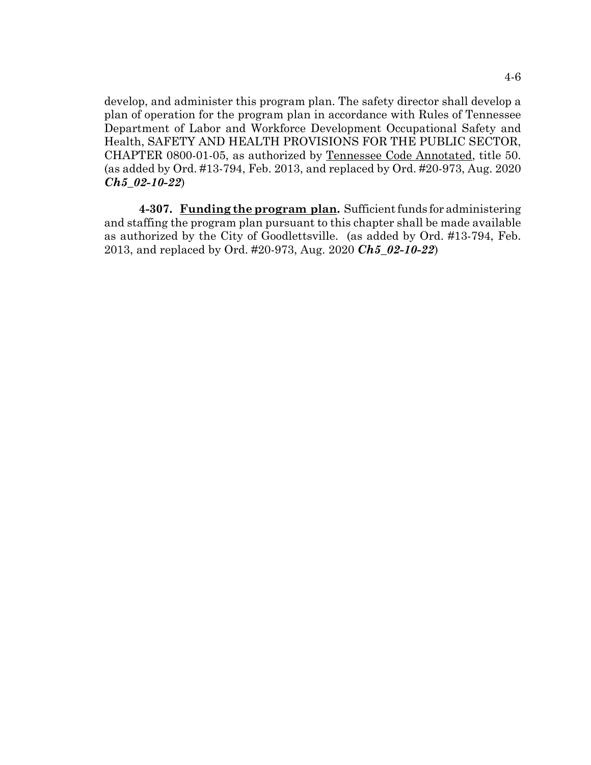develop, and administer this program plan. The safety director shall develop a plan of operation for the program plan in accordance with Rules of Tennessee Department of Labor and Workforce Development Occupational Safety and Health, SAFETY AND HEALTH PROVISIONS FOR THE PUBLIC SECTOR, CHAPTER 0800-01-05, as authorized by Tennessee Code Annotated, title 50. (as added by Ord. #13-794, Feb. 2013, and replaced by Ord. #20-973, Aug. 2020 *Ch5\_02-10-22*)

**4-307. Funding the program plan.** Sufficient funds for administering and staffing the program plan pursuant to this chapter shall be made available as authorized by the City of Goodlettsville. (as added by Ord. #13-794, Feb. 2013, and replaced by Ord. #20-973, Aug. 2020 *Ch5\_02-10-22*)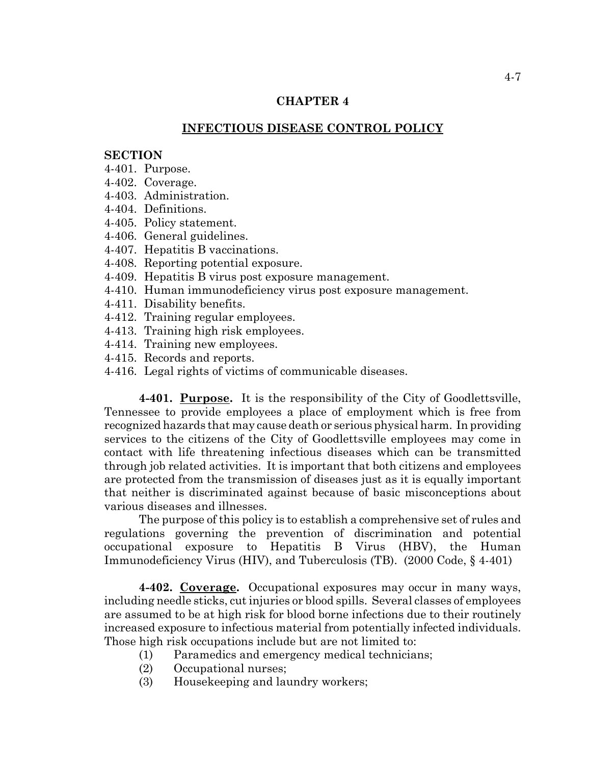# **CHAPTER 4**

### **INFECTIOUS DISEASE CONTROL POLICY**

### **SECTION**

- 4-401. Purpose.
- 4-402. Coverage.
- 4-403. Administration.
- 4-404. Definitions.
- 4-405. Policy statement.
- 4-406. General guidelines.
- 4-407. Hepatitis B vaccinations.
- 4-408. Reporting potential exposure.
- 4-409. Hepatitis B virus post exposure management.
- 4-410. Human immunodeficiency virus post exposure management.
- 4-411. Disability benefits.
- 4-412. Training regular employees.
- 4-413. Training high risk employees.
- 4-414. Training new employees.
- 4-415. Records and reports.
- 4-416. Legal rights of victims of communicable diseases.

**4-401. Purpose.** It is the responsibility of the City of Goodlettsville, Tennessee to provide employees a place of employment which is free from recognized hazards that may cause death or serious physical harm. In providing services to the citizens of the City of Goodlettsville employees may come in contact with life threatening infectious diseases which can be transmitted through job related activities. It is important that both citizens and employees are protected from the transmission of diseases just as it is equally important that neither is discriminated against because of basic misconceptions about various diseases and illnesses.

The purpose of this policy is to establish a comprehensive set of rules and regulations governing the prevention of discrimination and potential occupational exposure to Hepatitis B Virus (HBV), the Human Immunodeficiency Virus (HIV), and Tuberculosis (TB). (2000 Code, § 4-401)

**4-402. Coverage.** Occupational exposures may occur in many ways, including needle sticks, cut injuries or blood spills. Several classes of employees are assumed to be at high risk for blood borne infections due to their routinely increased exposure to infectious material from potentially infected individuals. Those high risk occupations include but are not limited to:

- (1) Paramedics and emergency medical technicians;
- (2) Occupational nurses;
- (3) Housekeeping and laundry workers;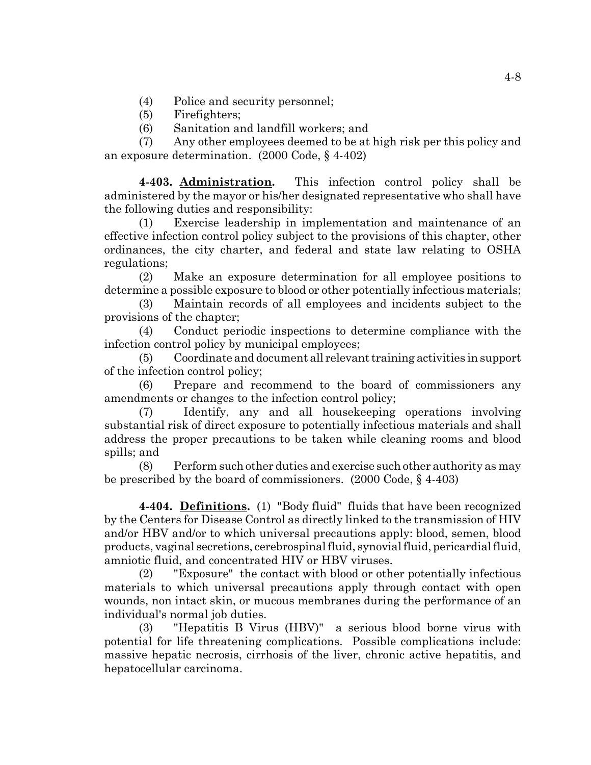- (4) Police and security personnel;
- (5) Firefighters;
- (6) Sanitation and landfill workers; and

(7) Any other employees deemed to be at high risk per this policy and an exposure determination. (2000 Code, § 4-402)

**4-403. Administration.** This infection control policy shall be administered by the mayor or his/her designated representative who shall have the following duties and responsibility:

(1) Exercise leadership in implementation and maintenance of an effective infection control policy subject to the provisions of this chapter, other ordinances, the city charter, and federal and state law relating to OSHA regulations;

(2) Make an exposure determination for all employee positions to determine a possible exposure to blood or other potentially infectious materials;

(3) Maintain records of all employees and incidents subject to the provisions of the chapter;

(4) Conduct periodic inspections to determine compliance with the infection control policy by municipal employees;

(5) Coordinate and document all relevant training activities in support of the infection control policy;

(6) Prepare and recommend to the board of commissioners any amendments or changes to the infection control policy;

(7) Identify, any and all housekeeping operations involving substantial risk of direct exposure to potentially infectious materials and shall address the proper precautions to be taken while cleaning rooms and blood spills; and

(8) Perform such other duties and exercise such other authority as may be prescribed by the board of commissioners. (2000 Code, § 4-403)

**4-404. Definitions.** (1) "Body fluid" fluids that have been recognized by the Centers for Disease Control as directly linked to the transmission of HIV and/or HBV and/or to which universal precautions apply: blood, semen, blood products, vaginal secretions, cerebrospinal fluid, synovial fluid, pericardial fluid, amniotic fluid, and concentrated HIV or HBV viruses.

(2) "Exposure" the contact with blood or other potentially infectious materials to which universal precautions apply through contact with open wounds, non intact skin, or mucous membranes during the performance of an individual's normal job duties.

(3) "Hepatitis B Virus (HBV)" a serious blood borne virus with potential for life threatening complications. Possible complications include: massive hepatic necrosis, cirrhosis of the liver, chronic active hepatitis, and hepatocellular carcinoma.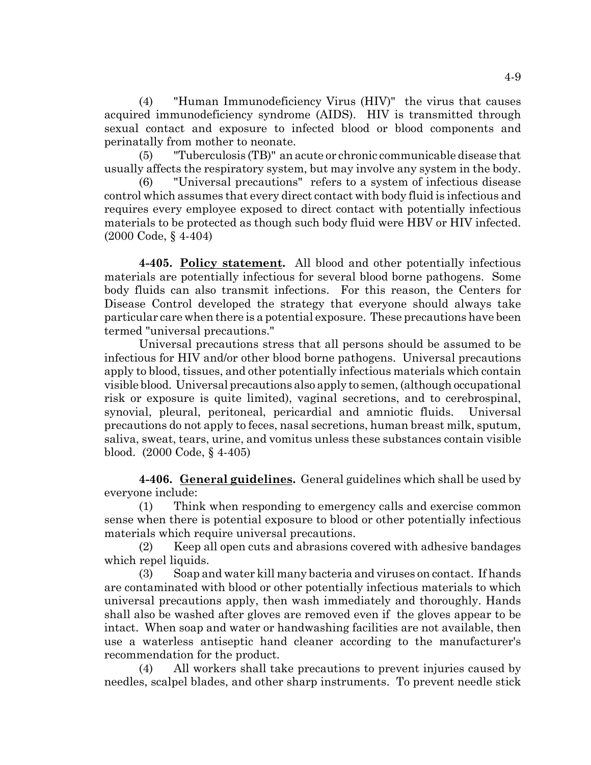(4) "Human Immunodeficiency Virus (HIV)" the virus that causes acquired immunodeficiency syndrome (AIDS). HIV is transmitted through sexual contact and exposure to infected blood or blood components and perinatally from mother to neonate.

(5) "Tuberculosis (TB)" an acute or chronic communicable disease that usually affects the respiratory system, but may involve any system in the body.

(6) "Universal precautions" refers to a system of infectious disease control which assumes that every direct contact with body fluid is infectious and requires every employee exposed to direct contact with potentially infectious materials to be protected as though such body fluid were HBV or HIV infected. (2000 Code, § 4-404)

**4-405. Policy statement.** All blood and other potentially infectious materials are potentially infectious for several blood borne pathogens. Some body fluids can also transmit infections. For this reason, the Centers for Disease Control developed the strategy that everyone should always take particular care when there is a potential exposure. These precautions have been termed "universal precautions."

Universal precautions stress that all persons should be assumed to be infectious for HIV and/or other blood borne pathogens. Universal precautions apply to blood, tissues, and other potentially infectious materials which contain visible blood. Universal precautions also apply to semen, (although occupational risk or exposure is quite limited), vaginal secretions, and to cerebrospinal, synovial, pleural, peritoneal, pericardial and amniotic fluids. Universal precautions do not apply to feces, nasal secretions, human breast milk, sputum, saliva, sweat, tears, urine, and vomitus unless these substances contain visible blood. (2000 Code, § 4-405)

**4-406. General guidelines.** General guidelines which shall be used by everyone include:

(1) Think when responding to emergency calls and exercise common sense when there is potential exposure to blood or other potentially infectious materials which require universal precautions.

(2) Keep all open cuts and abrasions covered with adhesive bandages which repel liquids.

(3) Soap and water kill many bacteria and viruses on contact. If hands are contaminated with blood or other potentially infectious materials to which universal precautions apply, then wash immediately and thoroughly. Hands shall also be washed after gloves are removed even if the gloves appear to be intact. When soap and water or handwashing facilities are not available, then use a waterless antiseptic hand cleaner according to the manufacturer's recommendation for the product.

(4) All workers shall take precautions to prevent injuries caused by needles, scalpel blades, and other sharp instruments. To prevent needle stick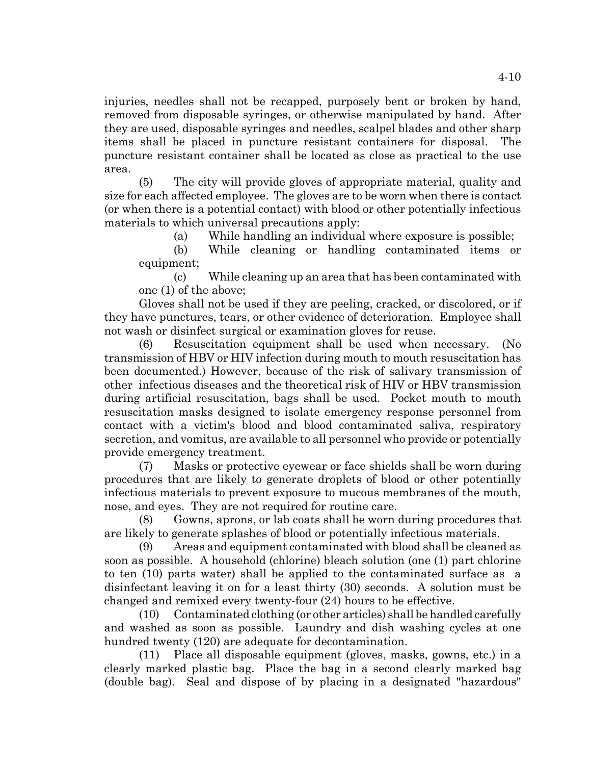injuries, needles shall not be recapped, purposely bent or broken by hand, removed from disposable syringes, or otherwise manipulated by hand. After they are used, disposable syringes and needles, scalpel blades and other sharp items shall be placed in puncture resistant containers for disposal. The puncture resistant container shall be located as close as practical to the use area.

(5) The city will provide gloves of appropriate material, quality and size for each affected employee. The gloves are to be worn when there is contact (or when there is a potential contact) with blood or other potentially infectious materials to which universal precautions apply:

(a) While handling an individual where exposure is possible;

(b) While cleaning or handling contaminated items or equipment;

(c) While cleaning up an area that has been contaminated with one (1) of the above;

Gloves shall not be used if they are peeling, cracked, or discolored, or if they have punctures, tears, or other evidence of deterioration. Employee shall not wash or disinfect surgical or examination gloves for reuse.

(6) Resuscitation equipment shall be used when necessary. (No transmission of HBV or HIV infection during mouth to mouth resuscitation has been documented.) However, because of the risk of salivary transmission of other infectious diseases and the theoretical risk of HIV or HBV transmission during artificial resuscitation, bags shall be used. Pocket mouth to mouth resuscitation masks designed to isolate emergency response personnel from contact with a victim's blood and blood contaminated saliva, respiratory secretion, and vomitus, are available to all personnel who provide or potentially provide emergency treatment.

(7) Masks or protective eyewear or face shields shall be worn during procedures that are likely to generate droplets of blood or other potentially infectious materials to prevent exposure to mucous membranes of the mouth, nose, and eyes. They are not required for routine care.

(8) Gowns, aprons, or lab coats shall be worn during procedures that are likely to generate splashes of blood or potentially infectious materials.

(9) Areas and equipment contaminated with blood shall be cleaned as soon as possible. A household (chlorine) bleach solution (one (1) part chlorine to ten (10) parts water) shall be applied to the contaminated surface as a disinfectant leaving it on for a least thirty (30) seconds. A solution must be changed and remixed every twenty-four (24) hours to be effective.

(10) Contaminated clothing (or other articles) shall be handled carefully and washed as soon as possible. Laundry and dish washing cycles at one hundred twenty (120) are adequate for decontamination.

(11) Place all disposable equipment (gloves, masks, gowns, etc.) in a clearly marked plastic bag. Place the bag in a second clearly marked bag (double bag). Seal and dispose of by placing in a designated "hazardous"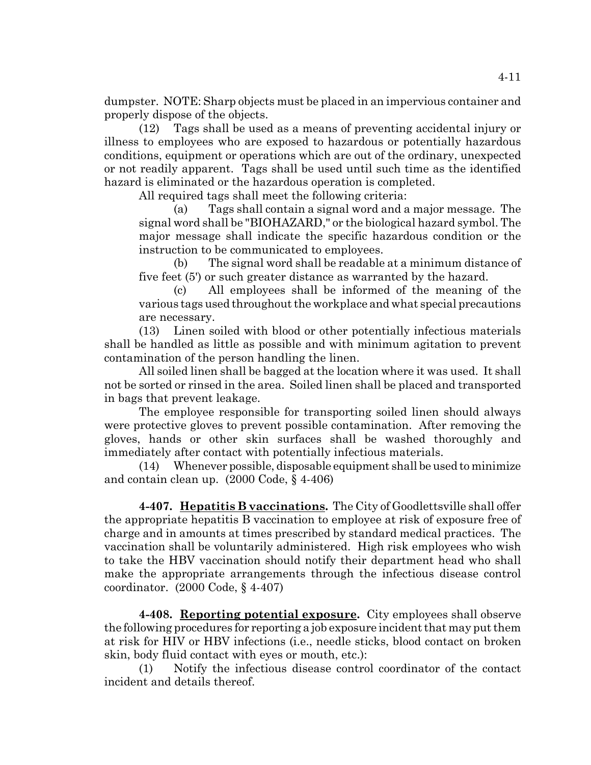dumpster. NOTE: Sharp objects must be placed in an impervious container and properly dispose of the objects.

(12) Tags shall be used as a means of preventing accidental injury or illness to employees who are exposed to hazardous or potentially hazardous conditions, equipment or operations which are out of the ordinary, unexpected or not readily apparent. Tags shall be used until such time as the identified hazard is eliminated or the hazardous operation is completed.

All required tags shall meet the following criteria:

(a) Tags shall contain a signal word and a major message. The signal word shall be "BIOHAZARD," or the biological hazard symbol. The major message shall indicate the specific hazardous condition or the instruction to be communicated to employees.

(b) The signal word shall be readable at a minimum distance of five feet (5') or such greater distance as warranted by the hazard.

(c) All employees shall be informed of the meaning of the various tags used throughout the workplace and what special precautions are necessary.

(13) Linen soiled with blood or other potentially infectious materials shall be handled as little as possible and with minimum agitation to prevent contamination of the person handling the linen.

All soiled linen shall be bagged at the location where it was used. It shall not be sorted or rinsed in the area. Soiled linen shall be placed and transported in bags that prevent leakage.

The employee responsible for transporting soiled linen should always were protective gloves to prevent possible contamination. After removing the gloves, hands or other skin surfaces shall be washed thoroughly and immediately after contact with potentially infectious materials.

(14) Whenever possible, disposable equipment shall be used to minimize and contain clean up. (2000 Code, § 4-406)

**4-407. Hepatitis B vaccinations.** The City of Goodlettsville shall offer the appropriate hepatitis B vaccination to employee at risk of exposure free of charge and in amounts at times prescribed by standard medical practices. The vaccination shall be voluntarily administered. High risk employees who wish to take the HBV vaccination should notify their department head who shall make the appropriate arrangements through the infectious disease control coordinator. (2000 Code, § 4-407)

**4-408. Reporting potential exposure.** City employees shall observe the following procedures for reporting a job exposure incident that may put them at risk for HIV or HBV infections (i.e., needle sticks, blood contact on broken skin, body fluid contact with eyes or mouth, etc.):

(1) Notify the infectious disease control coordinator of the contact incident and details thereof.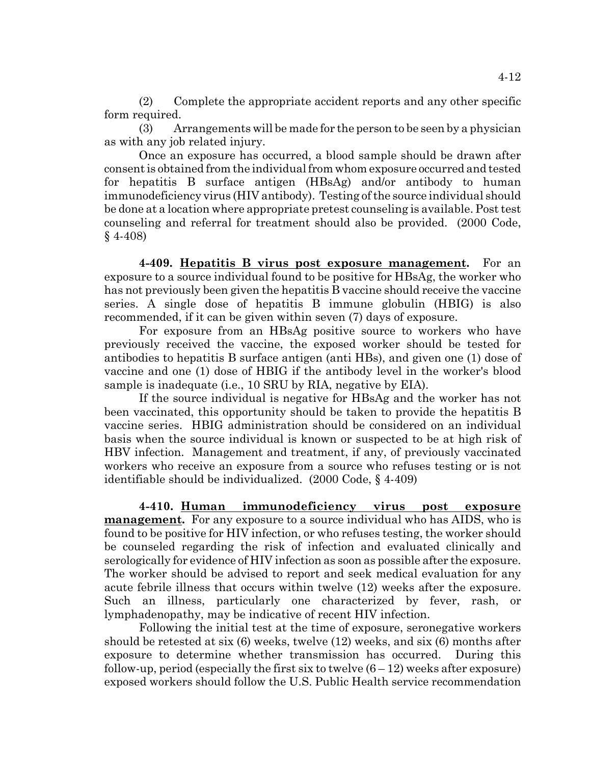(2) Complete the appropriate accident reports and any other specific form required.

(3) Arrangements will be made for the person to be seen by a physician as with any job related injury.

Once an exposure has occurred, a blood sample should be drawn after consent is obtained from the individual from whom exposure occurred and tested for hepatitis B surface antigen (HBsAg) and/or antibody to human immunodeficiency virus (HIV antibody). Testing of the source individual should be done at a location where appropriate pretest counseling is available. Post test counseling and referral for treatment should also be provided. (2000 Code, § 4-408)

**4-409. Hepatitis B virus post exposure management.** For an exposure to a source individual found to be positive for HBsAg, the worker who has not previously been given the hepatitis B vaccine should receive the vaccine series. A single dose of hepatitis B immune globulin (HBIG) is also recommended, if it can be given within seven (7) days of exposure.

For exposure from an HBsAg positive source to workers who have previously received the vaccine, the exposed worker should be tested for antibodies to hepatitis B surface antigen (anti HBs), and given one (1) dose of vaccine and one (1) dose of HBIG if the antibody level in the worker's blood sample is inadequate (i.e., 10 SRU by RIA, negative by EIA).

If the source individual is negative for HBsAg and the worker has not been vaccinated, this opportunity should be taken to provide the hepatitis B vaccine series. HBIG administration should be considered on an individual basis when the source individual is known or suspected to be at high risk of HBV infection. Management and treatment, if any, of previously vaccinated workers who receive an exposure from a source who refuses testing or is not identifiable should be individualized. (2000 Code, § 4-409)

**4-410. Human immunodeficiency virus post exposure management.** For any exposure to a source individual who has AIDS, who is found to be positive for HIV infection, or who refuses testing, the worker should be counseled regarding the risk of infection and evaluated clinically and serologically for evidence of HIV infection as soon as possible after the exposure. The worker should be advised to report and seek medical evaluation for any acute febrile illness that occurs within twelve (12) weeks after the exposure. Such an illness, particularly one characterized by fever, rash, or lymphadenopathy, may be indicative of recent HIV infection.

Following the initial test at the time of exposure, seronegative workers should be retested at six (6) weeks, twelve (12) weeks, and six (6) months after exposure to determine whether transmission has occurred. During this follow-up, period (especially the first six to twelve  $(6-12)$  weeks after exposure) exposed workers should follow the U.S. Public Health service recommendation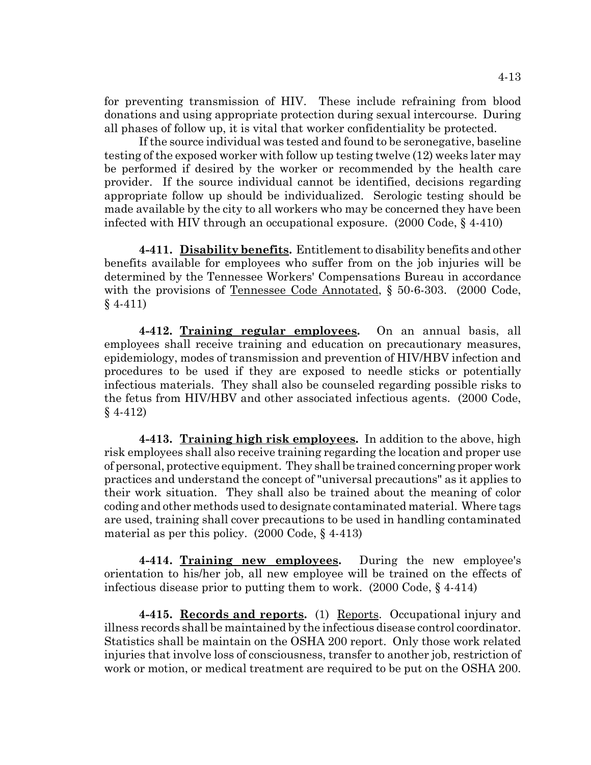for preventing transmission of HIV. These include refraining from blood donations and using appropriate protection during sexual intercourse. During all phases of follow up, it is vital that worker confidentiality be protected.

If the source individual was tested and found to be seronegative, baseline testing of the exposed worker with follow up testing twelve (12) weeks later may be performed if desired by the worker or recommended by the health care provider. If the source individual cannot be identified, decisions regarding appropriate follow up should be individualized. Serologic testing should be made available by the city to all workers who may be concerned they have been infected with HIV through an occupational exposure. (2000 Code, § 4-410)

**4-411. Disability benefits.** Entitlement to disability benefits and other benefits available for employees who suffer from on the job injuries will be determined by the Tennessee Workers' Compensations Bureau in accordance with the provisions of <u>Tennessee Code Annotated</u>, § 50-6-303. (2000 Code, § 4-411)

**4-412. Training regular employees.** On an annual basis, all employees shall receive training and education on precautionary measures, epidemiology, modes of transmission and prevention of HIV/HBV infection and procedures to be used if they are exposed to needle sticks or potentially infectious materials. They shall also be counseled regarding possible risks to the fetus from HIV/HBV and other associated infectious agents. (2000 Code, § 4-412)

**4-413. Training high risk employees.** In addition to the above, high risk employees shall also receive training regarding the location and proper use of personal, protective equipment. They shall be trained concerning proper work practices and understand the concept of "universal precautions" as it applies to their work situation. They shall also be trained about the meaning of color coding and other methods used to designate contaminated material. Where tags are used, training shall cover precautions to be used in handling contaminated material as per this policy. (2000 Code, § 4-413)

**4-414. Training new employees.** During the new employee's orientation to his/her job, all new employee will be trained on the effects of infectious disease prior to putting them to work. (2000 Code, § 4-414)

**4-415. Records and reports.** (1) Reports. Occupational injury and illness records shall be maintained by the infectious disease control coordinator. Statistics shall be maintain on the OSHA 200 report. Only those work related injuries that involve loss of consciousness, transfer to another job, restriction of work or motion, or medical treatment are required to be put on the OSHA 200.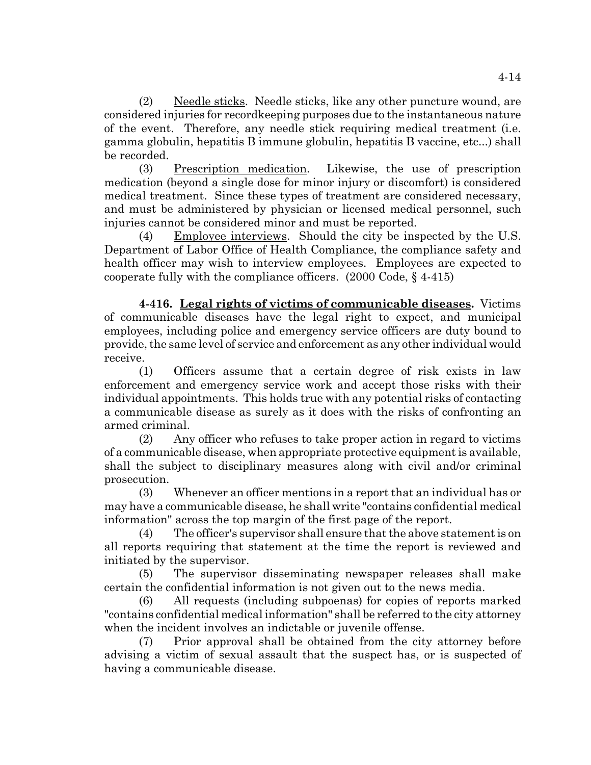(2) Needle sticks. Needle sticks, like any other puncture wound, are considered injuries for recordkeeping purposes due to the instantaneous nature of the event. Therefore, any needle stick requiring medical treatment (i.e. gamma globulin, hepatitis B immune globulin, hepatitis B vaccine, etc...) shall be recorded.

(3) Prescription medication. Likewise, the use of prescription medication (beyond a single dose for minor injury or discomfort) is considered medical treatment. Since these types of treatment are considered necessary, and must be administered by physician or licensed medical personnel, such injuries cannot be considered minor and must be reported.

(4) Employee interviews. Should the city be inspected by the U.S. Department of Labor Office of Health Compliance, the compliance safety and health officer may wish to interview employees. Employees are expected to cooperate fully with the compliance officers. (2000 Code, § 4-415)

**4-416. Legal rights of victims of communicable diseases.** Victims of communicable diseases have the legal right to expect, and municipal employees, including police and emergency service officers are duty bound to provide, the same level of service and enforcement as any other individual would receive.

(1) Officers assume that a certain degree of risk exists in law enforcement and emergency service work and accept those risks with their individual appointments. This holds true with any potential risks of contacting a communicable disease as surely as it does with the risks of confronting an armed criminal.

(2) Any officer who refuses to take proper action in regard to victims of a communicable disease, when appropriate protective equipment is available, shall the subject to disciplinary measures along with civil and/or criminal prosecution.

(3) Whenever an officer mentions in a report that an individual has or may have a communicable disease, he shall write "contains confidential medical information" across the top margin of the first page of the report.

(4) The officer's supervisor shall ensure that the above statement is on all reports requiring that statement at the time the report is reviewed and initiated by the supervisor.

(5) The supervisor disseminating newspaper releases shall make certain the confidential information is not given out to the news media.

(6) All requests (including subpoenas) for copies of reports marked "contains confidential medical information" shall be referred to the city attorney when the incident involves an indictable or juvenile offense.

(7) Prior approval shall be obtained from the city attorney before advising a victim of sexual assault that the suspect has, or is suspected of having a communicable disease.